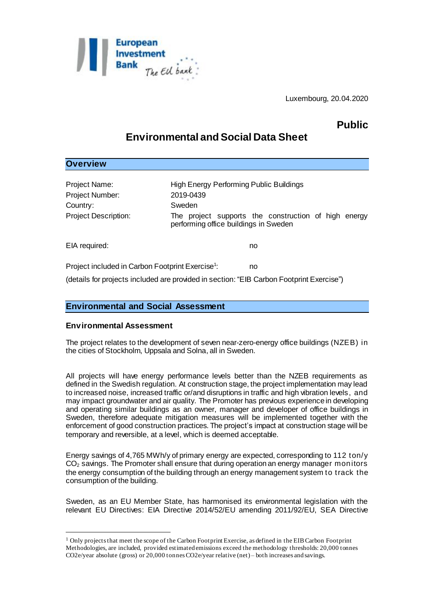

Luxembourg, 20.04.2020

# **Public**

## **Environmental and Social Data Sheet**

## **Overview**

l

| Project Name:<br>Project Number:<br>Country:<br><b>Project Description:</b> | <b>High Energy Performing Public Buildings</b><br>2019-0439<br>Sweden<br>The project supports the construction of high energy<br>performing office buildings in Sweden |
|-----------------------------------------------------------------------------|------------------------------------------------------------------------------------------------------------------------------------------------------------------------|
| EIA required:                                                               | no                                                                                                                                                                     |

Project included in Carbon Footprint Exercise<sup>1</sup>: : no

(details for projects included are provided in section: "EIB Carbon Footprint Exercise")

## **Environmental and Social Assessment**

#### **Environmental Assessment**

The project relates to the development of seven near-zero-energy office buildings (NZEB) in the cities of Stockholm, Uppsala and Solna, all in Sweden.

All projects will have energy performance levels better than the NZEB requirements as defined in the Swedish regulation. At construction stage, the project implementation may lead to increased noise, increased traffic or/and disruptions in traffic and high vibration levels, and may impact groundwater and air quality. The Promoter has previous experience in developing and operating similar buildings as an owner, manager and developer of office buildings in Sweden, therefore adequate mitigation measures will be implemented together with the enforcement of good construction practices. The project's impact at construction stage will be temporary and reversible, at a level, which is deemed acceptable.

Energy savings of 4,765 MWh/y of primary energy are expected, corresponding to 112 ton/y  $CO<sub>2</sub>$  savings. The Promoter shall ensure that during operation an energy manager monitors the energy consumption of the building through an energy management system to track the consumption of the building.

Sweden, as an EU Member State, has harmonised its environmental legislation with the relevant EU Directives: EIA Directive 2014/52/EU amending 2011/92/EU, SEA Directive

<sup>1</sup> Only projects that meet the scope of the Carbon Footprint Exercise, as defined in the EIB Carbon Footprint Methodologies, are included, provided estimated emissions exceed the methodology thresholds: 20,000 tonnes CO2e/year absolute (gross) or 20,000 tonnes CO2e/year relative (net) – both increases and savings.